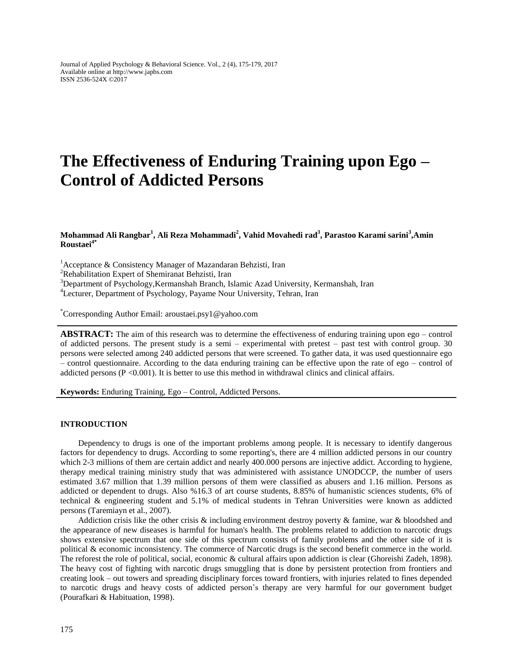# **The Effectiveness of Enduring Training upon Ego – Control of Addicted Persons**

## **Mohammad Ali Rangbar<sup>1</sup> , Ali Reza Mohammadi<sup>2</sup> , Vahid Movahedi rad<sup>3</sup> , Parastoo Karami sarini<sup>3</sup> ,Amin Roustaei4\***

 $1$ Acceptance & Consistency Manager of Mazandaran Behzisti, Iran

<sup>2</sup>Rehabilitation Expert of Shemiranat Behzisti, Iran

<sup>3</sup>Department of Psychology, Kermanshah Branch, Islamic Azad University, Kermanshah, Iran

<sup>4</sup>Lecturer, Department of Psychology, Payame Nour University, Tehran, Iran

\*Corresponding Author Email: aroustaei.psy1@yahoo.com

**ABSTRACT:** The aim of this research was to determine the effectiveness of enduring training upon ego – control of addicted persons. The present study is a semi – experimental with pretest – past test with control group. 30 persons were selected among 240 addicted persons that were screened. To gather data, it was used questionnaire ego – control questionnaire. According to the data enduring training can be effective upon the rate of ego – control of addicted persons  $(P < 0.001)$ . It is better to use this method in withdrawal clinics and clinical affairs.

**Keywords:** Enduring Training, Ego – Control, Addicted Persons.

### **INTRODUCTION**

Dependency to drugs is one of the important problems among people. It is necessary to identify dangerous factors for dependency to drugs. According to some reporting's, there are 4 million addicted persons in our country which 2-3 millions of them are certain addict and nearly 400.000 persons are injective addict. According to hygiene, therapy medical training ministry study that was administered with assistance UNODCCP, the number of users estimated 3.67 million that 1.39 million persons of them were classified as abusers and 1.16 million. Persons as addicted or dependent to drugs. Also %16.3 of art course students, 8.85% of humanistic sciences students, 6% of technical & engineering student and 5.1% of medical students in Tehran Universities were known as addicted persons (Taremiayn et al., 2007).

Addiction crisis like the other crisis  $\&$  including environment destroy poverty  $\&$  famine, war  $\&$  bloodshed and the appearance of new diseases is harmful for human's health. The problems related to addiction to narcotic drugs shows extensive spectrum that one side of this spectrum consists of family problems and the other side of it is political & economic inconsistency. The commerce of Narcotic drugs is the second benefit commerce in the world. The reforest the role of political, social, economic & cultural affairs upon addiction is clear (Ghoreishi Zadeh, 1898). The heavy cost of fighting with narcotic drugs smuggling that is done by persistent protection from frontiers and creating look – out towers and spreading disciplinary forces toward frontiers, with injuries related to fines depended to narcotic drugs and heavy costs of addicted person's therapy are very harmful for our government budget (Pourafkari & Habituation, 1998).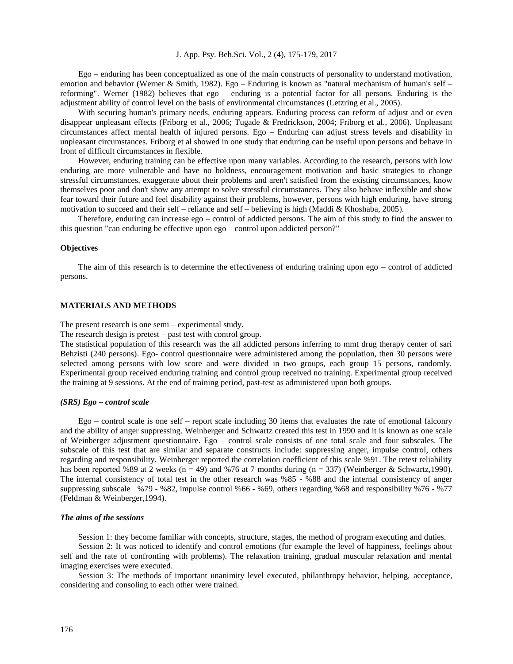J. App. Psy. Beh.Sci. Vol., 2 (4), 175-179, 2017

Ego – enduring has been conceptualized as one of the main constructs of personality to understand motivation, emotion and behavior (Werner & Smith, 1982). Ego – Enduring is known as "natural mechanism of human's self – reforming". Werner (1982) believes that ego – enduring is a potential factor for all persons. Enduring is the adjustment ability of control level on the basis of environmental circumstances (Letzring et al., 2005).

With securing human's primary needs, enduring appears. Enduring process can reform of adjust and or even disappear unpleasant effects (Friborg et al., 2006; Tugade & Fredrickson, 2004; Friborg et al., 2006). Unpleasant circumstances affect mental health of injured persons. Ego – Enduring can adjust stress levels and disability in unpleasant circumstances. Friborg et al showed in one study that enduring can be useful upon persons and behave in front of difficult circumstances in flexible.

However, enduring training can be effective upon many variables. According to the research, persons with low enduring are more vulnerable and have no boldness, encouragement motivation and basic strategies to change stressful circumstances, exaggerate about their problems and aren't satisfied from the existing circumstances, know themselves poor and don't show any attempt to solve stressful circumstances. They also behave inflexible and show fear toward their future and feel disability against their problems, however, persons with high enduring, have strong motivation to succeed and their self – reliance and self – believing is high (Maddi & Khoshaba, 2005).

Therefore, enduring can increase ego – control of addicted persons. The aim of this study to find the answer to this question "can enduring be effective upon ego – control upon addicted person?"

#### **Objectives**

The aim of this research is to determine the effectiveness of enduring training upon ego – control of addicted persons.

# **MATERIALS AND METHODS**

The present research is one semi – experimental study.

The research design is pretest – past test with control group.

The statistical population of this research was the all addicted persons inferring to mmt drug therapy center of sari Behzisti (240 persons). Ego- control questionnaire were administered among the population, then 30 persons were selected among persons with low score and were divided in two groups, each group 15 persons, randomly. Experimental group received enduring training and control group received no training. Experimental group received the training at 9 sessions. At the end of training period, past-test as administered upon both groups.

#### *(SRS) Ego – control scale*

Ego – control scale is one self – report scale including 30 items that evaluates the rate of emotional falconry and the ability of anger suppressing. Weinberger and Schwartz created this test in 1990 and it is known as one scale of Weinberger adjustment questionnaire. Ego – control scale consists of one total scale and four subscales. The subscale of this test that are similar and separate constructs include: suppressing anger, impulse control, others regarding and responsibility. Weinberger reported the correlation coefficient of this scale %91. The retest reliability has been reported %89 at 2 weeks (n = 49) and %76 at 7 months during (n = 337) (Weinberger & Schwartz,1990). The internal consistency of total test in the other research was %85 - %88 and the internal consistency of anger suppressing subscale %79 - %82, impulse control %66 - %69, others regarding %68 and responsibility %76 - %77 (Feldman & Weinberger,1994).

#### *The aims of the sessions*

Session 1: they become familiar with concepts, structure, stages, the method of program executing and duties.

Session 2: It was noticed to identify and control emotions (for example the level of happiness, feelings about self and the rate of confronting with problems). The relaxation training, gradual muscular relaxation and mental imaging exercises were executed.

Session 3: The methods of important unanimity level executed, philanthropy behavior, helping, acceptance, considering and consoling to each other were trained.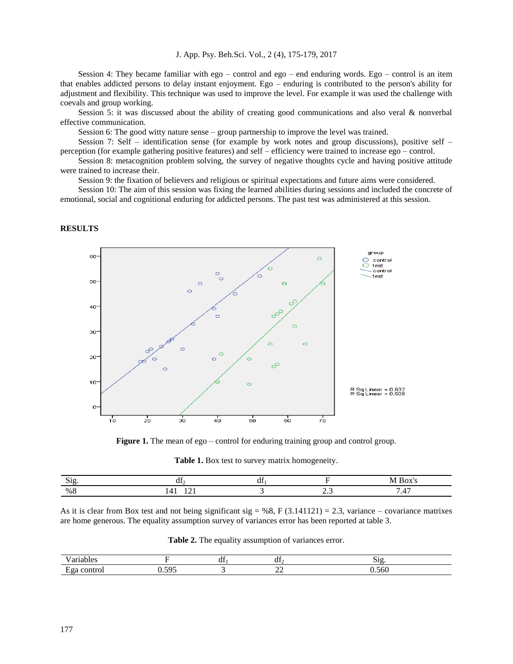J. App. Psy. Beh.Sci. Vol., 2 (4), 175-179, 2017

Session 4: They became familiar with ego – control and ego – end enduring words. Ego – control is an item that enables addicted persons to delay instant enjoyment. Ego – enduring is contributed to the person's ability for adjustment and flexibility. This technique was used to improve the level. For example it was used the challenge with coevals and group working.

Session 5: it was discussed about the ability of creating good communications and also veral & nonverbal effective communication.

Session 6: The good witty nature sense – group partnership to improve the level was trained.

Session 7: Self – identification sense (for example by work notes and group discussions), positive self – perception (for example gathering positive features) and self – efficiency were trained to increase ego – control.

Session 8: metacognition problem solving, the survey of negative thoughts cycle and having positive attitude were trained to increase their.

Session 9: the fixation of believers and religious or spiritual expectations and future aims were considered.

Session 10: The aim of this session was fixing the learned abilities during sessions and included the concrete of emotional, social and cognitional enduring for addicted persons. The past test was administered at this session.

## **RESULTS**



**Figure 1.** The mean of ego – control for enduring training group and control group.

| Table 1. Box test to survey matrix homogeneity. |  |  |  |  |  |  |
|-------------------------------------------------|--|--|--|--|--|--|
|-------------------------------------------------|--|--|--|--|--|--|

| $\sim$ | u |                 |   |
|--------|---|-----------------|---|
| %      |   | .<br>$\sim$ $-$ | . |

As it is clear from Box test and not being significant sig = %8, F (3.141121) = 2.3, variance – covariance matrixes are home generous. The equality assumption survey of variances error has been reported at table 3.

| -<br>. |               | . . | - 41                     |               |
|--------|---------------|-----|--------------------------|---------------|
| $\sim$ | ---<br>$\sim$ |     | $\overline{\phantom{a}}$ | $\sim$ $\sim$ |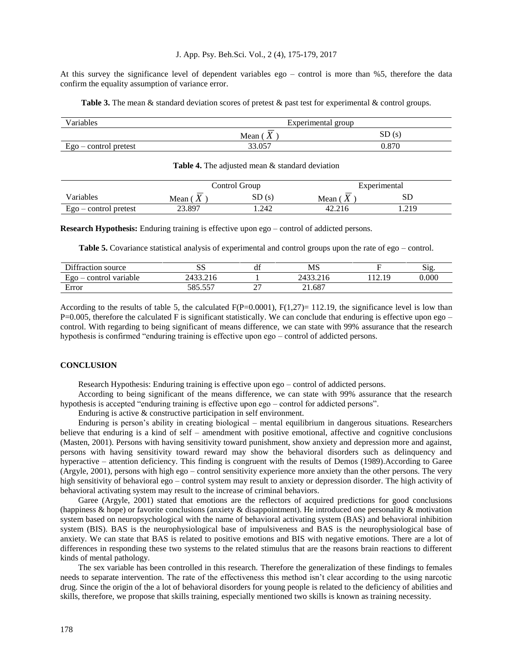#### J. App. Psy. Beh.Sci. Vol., 2 (4), 175-179, 2017

At this survey the significance level of dependent variables ego – control is more than %5, therefore the data confirm the equality assumption of variance error.

**Table 3.** The mean & standard deviation scores of pretest & past test for experimental & control groups.

| Variables               | Experimental group |       |  |  |  |
|-------------------------|--------------------|-------|--|--|--|
|                         | Mean (             | SD(s) |  |  |  |
| $Ego$ – control pretest | 33.057             | 0.870 |  |  |  |

#### Table 4. The adjusted mean & standard deviation

|                         |                                  | Control Group |                     | Experimental |  |  |
|-------------------------|----------------------------------|---------------|---------------------|--------------|--|--|
| Variables               | Mean (<br>$\boldsymbol{\Lambda}$ | SD(s)         | Mean (<br>$\Lambda$ | SD           |  |  |
| $Ego$ – control pretest | 23.897                           | .242          | 42.216              | . 219        |  |  |

**Research Hypothesis:** Enduring training is effective upon ego – control of addicted persons.

**Table 5.** Covariance statistical analysis of experimental and control groups upon the rate of ego – control.

| Diffraction source             | UΩ<br>ນມ     | $\cdot$<br>df      | MS      |                                     | Sig   |
|--------------------------------|--------------|--------------------|---------|-------------------------------------|-------|
| $EQO -$<br>variable<br>control | 24J<br>7.410 |                    | 7.Z L U | $1^{\circ}$<br>10<br>$\overline{1}$ | 0.000 |
| $\blacksquare$<br>error        | 557<br>50F   | $\sim$ $\sim$<br>∼ | 21.687  |                                     |       |

According to the results of table 5, the calculated  $F(P=0.0001)$ ,  $F(1,27)= 112.19$ , the significance level is low than  $P=0.005$ , therefore the calculated F is significant statistically. We can conclude that enduring is effective upon ego – control. With regarding to being significant of means difference, we can state with 99% assurance that the research hypothesis is confirmed "enduring training is effective upon ego – control of addicted persons.

#### **CONCLUSION**

Research Hypothesis: Enduring training is effective upon ego – control of addicted persons.

According to being significant of the means difference, we can state with 99% assurance that the research hypothesis is accepted "enduring training is effective upon ego – control for addicted persons".

Enduring is active & constructive participation in self environment.

Enduring is person's ability in creating biological – mental equilibrium in dangerous situations. Researchers believe that enduring is a kind of self – amendment with positive emotional, affective and cognitive conclusions (Masten, 2001). Persons with having sensitivity toward punishment, show anxiety and depression more and against, persons with having sensitivity toward reward may show the behavioral disorders such as delinquency and hyperactive – attention deficiency. This finding is congruent with the results of Demos (1989).According to Garee (Argyle, 2001), persons with high ego – control sensitivity experience more anxiety than the other persons. The very high sensitivity of behavioral ego – control system may result to anxiety or depression disorder. The high activity of behavioral activating system may result to the increase of criminal behaviors.

Garee (Argyle, 2001) stated that emotions are the reflectors of acquired predictions for good conclusions (happiness & hope) or favorite conclusions (anxiety & disappointment). He introduced one personality & motivation system based on neuropsychological with the name of behavioral activating system (BAS) and behavioral inhibition system (BIS). BAS is the neurophysiological base of impulsiveness and BAS is the neurophysiological base of anxiety. We can state that BAS is related to positive emotions and BIS with negative emotions. There are a lot of differences in responding these two systems to the related stimulus that are the reasons brain reactions to different kinds of mental pathology.

The sex variable has been controlled in this research. Therefore the generalization of these findings to females needs to separate intervention. The rate of the effectiveness this method isn't clear according to the using narcotic drug. Since the origin of the a lot of behavioral disorders for young people is related to the deficiency of abilities and skills, therefore, we propose that skills training, especially mentioned two skills is known as training necessity.